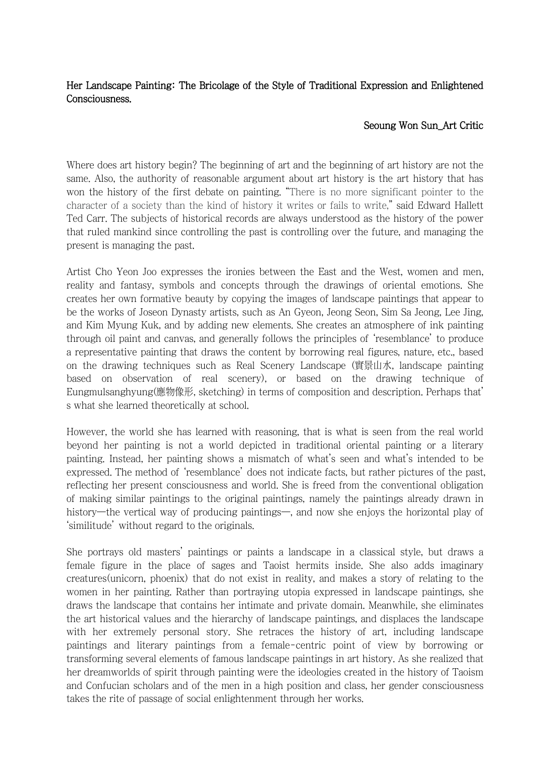## Her Landscape Painting: The Bricolage of the Style of Traditional Expression and Enlightened Consciousness.

## Seoung Won Sun\_Art Critic

Where does art history begin? The beginning of art and the beginning of art history are not the same. Also, the authority of reasonable argument about art history is the art history that has won the history of the first debate on painting. "There is no more significant pointer to the character of a society than the kind of history it writes or fails to write," said Edward Hallett Ted Carr. The subjects of historical records are always understood as the history of the power that ruled mankind since controlling the past is controlling over the future, and managing the present is managing the past.

Artist Cho Yeon Joo expresses the ironies between the East and the West, women and men, reality and fantasy, symbols and concepts through the drawings of oriental emotions. She creates her own formative beauty by copying the images of landscape paintings that appear to be the works of Joseon Dynasty artists, such as An Gyeon, Jeong Seon, Sim Sa Jeong, Lee Jing, and Kim Myung Kuk, and by adding new elements. She creates an atmosphere of ink painting through oil paint and canvas, and generally follows the principles of 'resemblance' to produce a representative painting that draws the content by borrowing real figures, nature, etc., based on the drawing techniques such as Real Scenery Landscape (實景山水, landscape painting based on observation of real scenery), or based on the drawing technique of Eungmulsanghyung(應物像形, sketching) in terms of composition and description. Perhaps that' s what she learned theoretically at school.

However, the world she has learned with reasoning, that is what is seen from the real world beyond her painting is not a world depicted in traditional oriental painting or a literary painting. Instead, her painting shows a mismatch of what's seen and what's intended to be expressed. The method of 'resemblance' does not indicate facts, but rather pictures of the past, reflecting her present consciousness and world. She is freed from the conventional obligation of making similar paintings to the original paintings, namely the paintings already drawn in history—the vertical way of producing paintings—, and now she enjoys the horizontal play of 'similitude' without regard to the originals.

She portrays old masters' paintings or paints a landscape in a classical style, but draws a female figure in the place of sages and Taoist hermits inside. She also adds imaginary creatures(unicorn, phoenix) that do not exist in reality, and makes a story of relating to the women in her painting. Rather than portraying utopia expressed in landscape paintings, she draws the landscape that contains her intimate and private domain. Meanwhile, she eliminates the art historical values and the hierarchy of landscape paintings, and displaces the landscape with her extremely personal story. She retraces the history of art, including landscape paintings and literary paintings from a female-centric point of view by borrowing or transforming several elements of famous landscape paintings in art history. As she realized that her dreamworlds of spirit through painting were the ideologies created in the history of Taoism and Confucian scholars and of the men in a high position and class, her gender consciousness takes the rite of passage of social enlightenment through her works.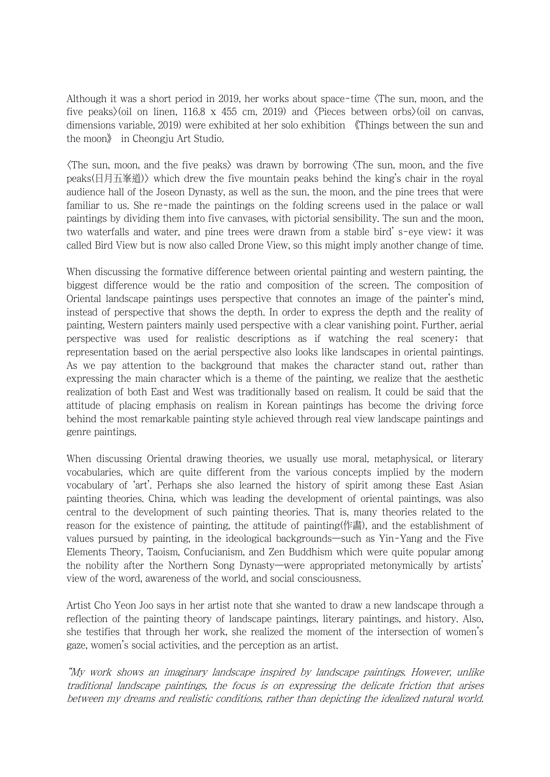Although it was a short period in 2019, her works about space-time <The sun, moon, and the five peaks) (oil on linen,  $116.8 \times 455$  cm,  $2019$ ) and  $\langle$  Pieces between orbs) (oil on canvas, dimensions variable, 2019) were exhibited at her solo exhibition 《Things between the sun and the moon》 in Cheongju Art Studio.

 $\langle$ The sun, moon, and the five peaks $\rangle$  was drawn by borrowing  $\langle$ The sun, moon, and the five peaks(日月五峯道)> which drew the five mountain peaks behind the king's chair in the royal audience hall of the Joseon Dynasty, as well as the sun, the moon, and the pine trees that were familiar to us. She re-made the paintings on the folding screens used in the palace or wall paintings by dividing them into five canvases, with pictorial sensibility. The sun and the moon, two waterfalls and water, and pine trees were drawn from a stable bird' s-eye view; it was called Bird View but is now also called Drone View, so this might imply another change of time.

When discussing the formative difference between oriental painting and western painting, the biggest difference would be the ratio and composition of the screen. The composition of Oriental landscape paintings uses perspective that connotes an image of the painter's mind, instead of perspective that shows the depth. In order to express the depth and the reality of painting, Western painters mainly used perspective with a clear vanishing point. Further, aerial perspective was used for realistic descriptions as if watching the real scenery; that representation based on the aerial perspective also looks like landscapes in oriental paintings. As we pay attention to the background that makes the character stand out, rather than expressing the main character which is a theme of the painting, we realize that the aesthetic realization of both East and West was traditionally based on realism. It could be said that the attitude of placing emphasis on realism in Korean paintings has become the driving force behind the most remarkable painting style achieved through real view landscape paintings and genre paintings.

When discussing Oriental drawing theories, we usually use moral, metaphysical, or literary vocabularies, which are quite different from the various concepts implied by the modern vocabulary of 'art'. Perhaps she also learned the history of spirit among these East Asian painting theories. China, which was leading the development of oriental paintings, was also central to the development of such painting theories. That is, many theories related to the reason for the existence of painting, the attitude of painting(作畵), and the establishment of values pursued by painting, in the ideological backgrounds—such as Yin-Yang and the Five Elements Theory, Taoism, Confucianism, and Zen Buddhism which were quite popular among the nobility after the Northern Song Dynasty—were appropriated metonymically by artists' view of the word, awareness of the world, and social consciousness.

Artist Cho Yeon Joo says in her artist note that she wanted to draw a new landscape through a reflection of the painting theory of landscape paintings, literary paintings, and history. Also, she testifies that through her work, she realized the moment of the intersection of women's gaze, women's social activities, and the perception as an artist.

"My work shows an imaginary landscape inspired by landscape paintings. However, unlike traditional landscape paintings, the focus is on expressing the delicate friction that arises between my dreams and realistic conditions, rather than depicting the idealized natural world.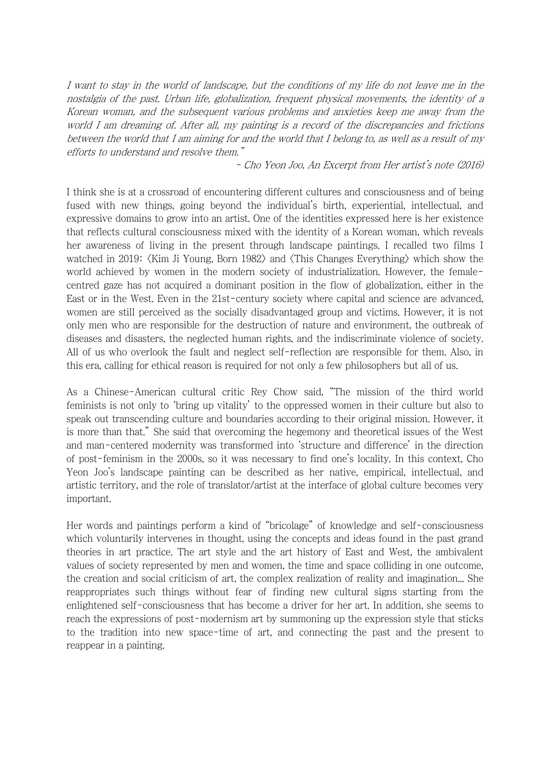I want to stay in the world of landscape, but the conditions of my life do not leave me in the nostalgia of the past. Urban life, globalization, frequent physical movements, the identity of a Korean woman, and the subsequent various problems and anxieties keep me away from the world I am dreaming of. After all, my painting is a record of the discrepancies and frictions between the world that I am aiming for and the world that I belong to, as well as a result of my efforts to understand and resolve them."

- Cho Yeon Joo, An Excerpt from Her artist's note (2016)

I think she is at a crossroad of encountering different cultures and consciousness and of being fused with new things, going beyond the individual's birth, experiential, intellectual, and expressive domains to grow into an artist. One of the identities expressed here is her existence that reflects cultural consciousness mixed with the identity of a Korean woman, which reveals her awareness of living in the present through landscape paintings. I recalled two films I watched in 2019: (Kim Ji Young, Born 1982) and (This Changes Everything) which show the world achieved by women in the modern society of industrialization. However, the femalecentred gaze has not acquired a dominant position in the flow of globalization, either in the East or in the West. Even in the 21st-century society where capital and science are advanced, women are still perceived as the socially disadvantaged group and victims. However, it is not only men who are responsible for the destruction of nature and environment, the outbreak of diseases and disasters, the neglected human rights, and the indiscriminate violence of society. All of us who overlook the fault and neglect self-reflection are responsible for them. Also, in this era, calling for ethical reason is required for not only a few philosophers but all of us.

As a Chinese-American cultural critic Rey Chow said, "The mission of the third world feminists is not only to 'bring up vitality' to the oppressed women in their culture but also to speak out transcending culture and boundaries according to their original mission. However, it is more than that." She said that overcoming the hegemony and theoretical issues of the West and man-centered modernity was transformed into 'structure and difference' in the direction of post-feminism in the 2000s, so it was necessary to find one's locality. In this context, Cho Yeon Joo's landscape painting can be described as her native, empirical, intellectual, and artistic territory, and the role of translator/artist at the interface of global culture becomes very important.

Her words and paintings perform a kind of "bricolage" of knowledge and self-consciousness which voluntarily intervenes in thought, using the concepts and ideas found in the past grand theories in art practice. The art style and the art history of East and West, the ambivalent values of society represented by men and women, the time and space colliding in one outcome, the creation and social criticism of art, the complex realization of reality and imagination... She reappropriates such things without fear of finding new cultural signs starting from the enlightened self-consciousness that has become a driver for her art. In addition, she seems to reach the expressions of post-modernism art by summoning up the expression style that sticks to the tradition into new space-time of art, and connecting the past and the present to reappear in a painting.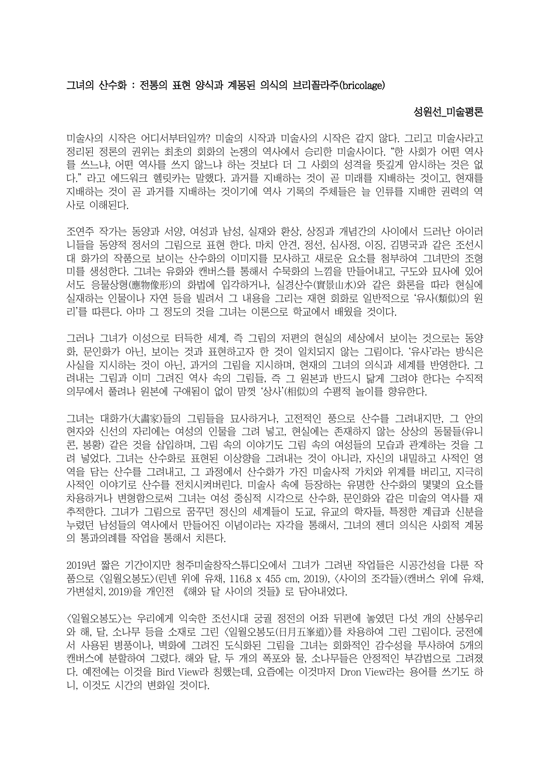## 그녀의 산수화 : 전통의 표현 양식과 계몽된 의식의 브리꼴라주(bricolage)

## 성원선\_미술평론

미술사의 시작은 어디서부터일까? 미술의 시작과 미술사의 시작은 같지 않다. 그리고 미술사라고 정리된 정론의 권위는 최초의 회화의 논쟁의 역사에서 승리한 미술사이다. "한 사회가 어떤 역사 를 쓰느냐, 어떤 역사를 쓰지 않느냐 하는 것보다 더 그 사회의 성격을 뜻깊게 암시하는 것은 없 다." 라고 에드워크 헬릿카는 말했다. 과거를 지배하는 것이 곧 미래를 지배하는 것이고, 현재를 지배하는 것이 곧 과거를 지배하는 것이기에 역사 기록의 주체들은 늘 인류를 지배한 권력의 역 사로 이해된다.

조연주 작가는 동양과 서양, 여성과 남성, 실재와 환상, 상징과 개념간의 사이에서 드러난 아이러 니들을 동양적 정서의 그림으로 표현 한다. 마치 안견, 정선, 심사정, 이징, 김명국과 같은 조선시 대 화가의 작품으로 보이는 산수화의 이미지를 모사하고 새로운 요소를 첨부하여 그녀만의 조형 미를 생성한다. 그녀는 유화와 캔버스를 통해서 수묵화의 느낌을 만들어내고, 구도와 묘사에 있어 서도 응물상형(應物像形)의 화법에 입각하거나, 실경산수(實景山水)와 같은 화론을 따라 현실에 실재하는 인물이나 자연 등을 빌려서 그 내용을 그리는 재현 회화로 일반적으로 '유사(類似)의 원 리'를 따른다. 아마 그 정도의 것을 그녀는 이론으로 학교에서 배웠을 것이다.

그러나 그녀가 이성으로 터득한 세계, 즉 그림의 저편의 현실의 세상에서 보이는 것으로는 동양 화, 문인화가 아닌, 보이는 것과 표현하고자 한 것이 일치되지 않는 그림이다. '유사'라는 방식은 사실을 지시하는 것이 아닌, 과거의 그림을 지시하며, 현재의 그녀의 의식과 세계를 반영한다. 그 려내는 그림과 이미 그려진 역사 속의 그림들, 즉 그 원본과 반드시 닮게 그려야 한다는 수직적 의무에서 풀려나 원본에 구애됨이 없이 맘껏 '상사'(相似)의 수평적 놀이를 향유한다.

그녀는 대화가(大畵家)들의 그림들을 묘사하거나, 고전적인 풍으로 산수를 그려내지만, 그 안의 현자와 신선의 자리에는 여성의 인물을 그려 넣고, 현실에는 존재하지 않는 상상의 동물들(유니 콘, 봉황) 같은 것을 삽입하며, 그림 속의 이야기도 그림 속의 여성들의 모습과 관계하는 것을 그 려 넣었다. 그녀는 산수화로 표현된 이상향을 그려내는 것이 아니라, 자신의 내밀하고 사적인 영 역을 담는 산수를 그려내고, 그 과정에서 산수화가 가진 미술사적 가치와 위계를 버리고, 지극히 사적인 이야기로 산수를 전치시켜버린다. 미술사 속에 등장하는 유명한 산수화의 몇몇의 요소를 차용하거나 변형함으로써 그녀는 여성 중심적 시각으로 산수화, 문인화와 같은 미술의 역사를 재 추적한다. 그녀가 그림으로 꿈꾸던 정신의 세계들이 도교, 유교의 학자들, 특정한 계급과 신분을 누렸던 남성들의 역사에서 만들어진 이념이라는 자각을 통해서, 그녀의 젠더 의식은 사회적 계몽 의 통과의례를 작업을 통해서 치른다.

2019년 짧은 기간이지만 청주미술창작스튜디오에서 그녀가 그려낸 작업들은 시공간성을 다룬 작 품으로 <일월오봉도>(린넨 위에 유채, 116.8 x 455 cm, 2019), <사이의 조각들>(캔버스 위에 유채, 가변설치, 2019)을 개인전 《해와 달 사이의 것들》로 담아내었다.

<일월오봉도>는 우리에게 익숙한 조선시대 궁궐 정전의 어좌 뒤편에 놓였던 다섯 개의 산봉우리 와 해, 달, 소나무 등을 소재로 그린 <일월오봉도(日月五峯道)>를 차용하여 그린 그림이다. 궁전에 서 사용된 병풍이나, 벽화에 그려진 도식화된 그림을 그녀는 회화적인 감수성을 투사하여 5개의 캔버스에 분할하여 그렸다. 해와 달, 두 개의 폭포와 물, 소나무들은 안정적인 부감법으로 그려졌 다. 예전에는 이것을 Bird View라 칭했는데, 요즘에는 이것마저 Dron View라는 용어를 쓰기도 하 니, 이것도 시간의 변화일 것이다.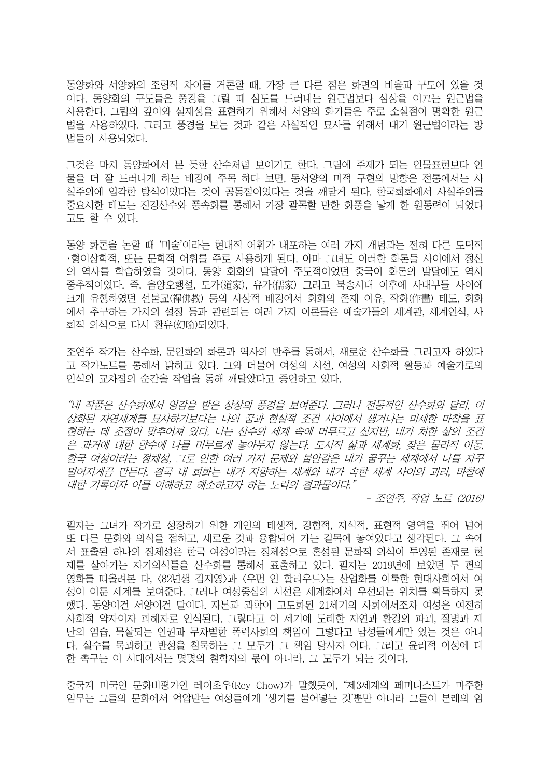동양화와 서양화의 조형적 차이를 거론할 때, 가장 큰 다른 점은 화면의 비율과 구도에 있을 것 이다. 동양화의 구도들은 풍경을 그릴 때 심도를 드러내는 원근법보다 심상을 이끄는 원근법을 사용한다. 그림의 깊이와 실재성을 표현하기 위해서 서양의 화가들은 주로 소실점이 명확한 원근 법을 사용하였다. 그리고 풍경을 보는 것과 같은 사실적인 묘사를 위해서 대기 원근법이라는 방 법들이 사용되었다.

그것은 마치 동양화에서 본 듯한 산수처럼 보이기도 한다. 그림에 주제가 되는 인물표현보다 인 물을 더 잘 드러나게 하는 배경에 주목 하다 보면, 동서양의 미적 구현의 방향은 전통에서는 사 실주의에 입각한 방식이었다는 것이 공통점이었다는 것을 깨닫게 된다. 한국회화에서 사실주의를 중요시한 태도는 진경산수와 풍속화를 통해서 가장 괄목할 만한 화풍을 낳게 한 원동력이 되었다 고도 할 수 있다.

동양 화론을 논할 때 '미술'이라는 현대적 어휘가 내포하는 여러 가지 개념과는 전혀 다른 도덕적 ·형이상학적, 또는 문학적 어휘를 주로 사용하게 된다. 아마 그녀도 이러한 화론들 사이에서 정신 의 역사를 학습하였을 것이다. 동양 회화의 발달에 주도적이었던 중국이 화론의 발달에도 역시 중추적이었다. 즉, 음양오행설, 도가(道家), 유가(儒家) 그리고 북송시대 이후에 사대부들 사이에 크게 유행하였던 선불교(禪佛敎) 등의 사상적 배경에서 회화의 존재 이유, 작화(作畵) 태도, 회화 에서 추구하는 가치의 설정 등과 관련되는 여러 가지 이론들은 예술가들의 세계관, 세계인식, 사 회적 의식으로 다시 환유(幻喩)되었다.

조연주 작가는 산수화, 문인화의 화론과 역사의 반추를 통해서, 새로운 산수화를 그리고자 하였다 고 작가노트를 통해서 밝히고 있다. 그와 더불어 여성의 시선, 여성의 사회적 활동과 예술가로의 인식의 교차점의 순간을 작업을 통해 깨달았다고 증언하고 있다.

"내 작품은 산수화에서 영감을 받은 상상의 풍경을 보여준다. 그러나 전통적인 산수화와 달리, 이 상화된 자연세계를 묘사하기보다는 나의 꿈과 현실적 조건 사이에서 생겨나는 미세한 마찰을 표 현하는 데 초점이 맞추어져 있다. 나는 산수의 세계 속에 머무르고 싶지만, 내가 처한 삶의 조건 은 과거에 대한 향수에 나를 머무르게 놓아두지 않는다. 도시적 삶과 세계화, 잦은 물리적 이동, 한국 여성이라는 정체성, 그로 인한 여러 가지 문제와 불안감은 내가 꿈꾸는 세계에서 나를 자꾸 멀어지게끔 만든다. 결국 내 회화는 내가 지향하는 세계와 내가 속한 세계 사이의 괴리, 마찰에 대한 기록이자 이를 이해하고 해소하고자 하는 노력의 결과물이다."

- 조연주, 작업 노트 (2016)

필자는 그녀가 작가로 성장하기 위한 개인의 태생적, 경험적, 지식적, 표현적 영역을 뛰어 넘어 또 다른 문화와 의식을 접하고, 새로운 것과 융합되어 가는 길목에 놓여있다고 생각된다. 그 속에 서 표출된 하나의 정체성은 한국 여성이라는 정체성으로 혼성된 문화적 의식이 투영된 존재로 현 재를 살아가는 자기의식들을 산수화를 통해서 표출하고 있다. 필자는 2019년에 보았던 두 편의 영화를 떠올려본 다, <82년생 김지영>과 <우먼 인 할리우드>는 산업화를 이룩한 현대사회에서 여 성이 이룬 세계를 보여준다. 그러나 여성중심의 시선은 세계화에서 우선되는 위치를 획득하지 못 했다. 동양이건 서양이건 말이다. 자본과 과학이 고도화된 21세기의 사회에서조차 여성은 여전히 사회적 약자이자 피해자로 인식된다. 그렇다고 이 세기에 도래한 자연과 환경의 파괴, 질병과 재 난의 엄습, 묵살되는 인권과 무차별한 폭력사회의 책임이 그렇다고 남성들에게만 있는 것은 아니 다. 실수를 묵과하고 반성을 침묵하는 그 모두가 그 책임 당사자 이다. 그리고 윤리적 이성에 대 한 촉구는 이 시대에서는 몇몇의 철학자의 몫이 아니라, 그 모두가 되는 것이다.

중국계 미국인 문화비평가인 레이초우(Rey Chow)가 말했듯이, "제3세계의 페미니스트가 마주한 임무는 그들의 문화에서 억압받는 여성들에게 '생기를 불어넣는 것'뿐만 아니라 그들이 본래의 임